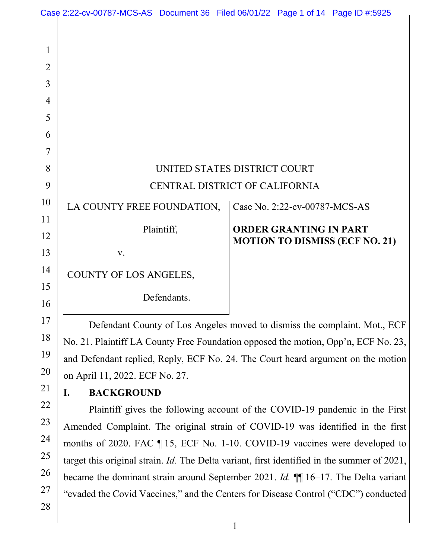| $\mathbf{1}$   |                                |                                       |
|----------------|--------------------------------|---------------------------------------|
| $\overline{2}$ |                                |                                       |
| 3              |                                |                                       |
| 4              |                                |                                       |
| 5              |                                |                                       |
| 6              |                                |                                       |
| $\overline{7}$ |                                |                                       |
| 8              | UNITED STATES DISTRICT COURT   |                                       |
| 9              | CENTRAL DISTRICT OF CALIFORNIA |                                       |
| $\overline{0}$ | LA COUNTY FREE FOUNDATION,     | Case No. 2:22-cv-00787-MCS-AS         |
| 1              | Plaintiff,                     | <b>ORDER GRANTING IN PART</b>         |
| $\overline{2}$ |                                | <b>MOTION TO DISMISS (ECF NO. 21)</b> |
| 3              | V.                             |                                       |
| 4              | COUNTY OF LOS ANGELES,         |                                       |
| 5              | Defendants.                    |                                       |
| 6              |                                |                                       |

Defendant County of Los Angeles moved to dismiss the complaint. Mot., ECF No. 21. Plaintiff LA County Free Foundation opposed the motion, Opp'n, ECF No. 23, and Defendant replied, Reply, ECF No. 24. The Court heard argument on the motion on April 11, 2022. ECF No. 27.

# **I. BACKGROUND**

Plaintiff gives the following account of the COVID-19 pandemic in the First Amended Complaint. The original strain of COVID-19 was identified in the first months of 2020. FAC ¶ 15, ECF No. 1-10. COVID-19 vaccines were developed to target this original strain. *Id.* The Delta variant, first identified in the summer of 2021, became the dominant strain around September 2021. *Id.* ¶¶ 16–17. The Delta variant "evaded the Covid Vaccines," and the Centers for Disease Control ("CDC") conducted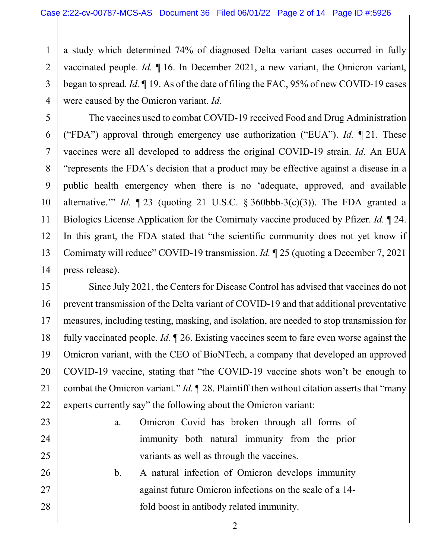a study which determined 74% of diagnosed Delta variant cases occurred in fully vaccinated people. *Id.* ¶ 16. In December 2021, a new variant, the Omicron variant, began to spread. *Id.* ¶ 19. As of the date of filing the FAC, 95% of new COVID-19 cases were caused by the Omicron variant. *Id.*

The vaccines used to combat COVID-19 received Food and Drug Administration ("FDA") approval through emergency use authorization ("EUA"). *Id.* ¶ 21. These vaccines were all developed to address the original COVID-19 strain. *Id.* An EUA "represents the FDA's decision that a product may be effective against a disease in a public health emergency when there is no 'adequate, approved, and available alternative." *Id.*  $\P$  23 (quoting 21 U.S.C. § 360bbb-3(c)(3)). The FDA granted a Biologics License Application for the Comirnaty vaccine produced by Pfizer. *Id.* ¶ 24. In this grant, the FDA stated that "the scientific community does not yet know if Comirnaty will reduce" COVID-19 transmission. *Id.* ¶ 25 (quoting a December 7, 2021 press release).

Since July 2021, the Centers for Disease Control has advised that vaccines do not prevent transmission of the Delta variant of COVID-19 and that additional preventative measures, including testing, masking, and isolation, are needed to stop transmission for fully vaccinated people. *Id.* ¶ 26. Existing vaccines seem to fare even worse against the Omicron variant, with the CEO of BioNTech, a company that developed an approved COVID-19 vaccine, stating that "the COVID-19 vaccine shots won't be enough to combat the Omicron variant." *Id.* ¶ 28. Plaintiff then without citation asserts that "many experts currently say" the following about the Omicron variant:

- a. Omicron Covid has broken through all forms of immunity both natural immunity from the prior variants as well as through the vaccines.
- b. A natural infection of Omicron develops immunity against future Omicron infections on the scale of a 14 fold boost in antibody related immunity.
- 2 3 4 5 6 7 8 9 10 11 12 13 14 15 16 17 18 19 20 21 22 23 24 25 26 27 28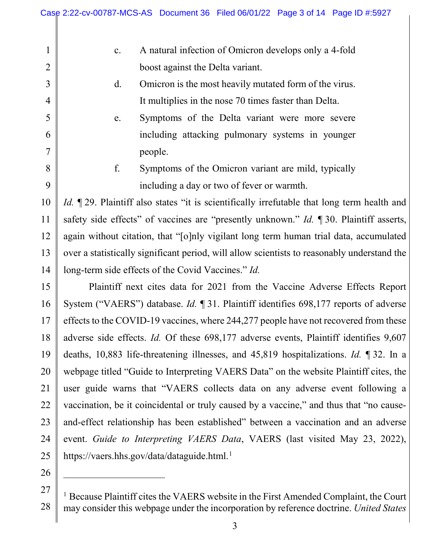- c. A natural infection of Omicron develops only a 4-fold boost against the Delta variant.
- d. Omicron is the most heavily mutated form of the virus. It multiplies in the nose 70 times faster than Delta.
- e. Symptoms of the Delta variant were more severe including attacking pulmonary systems in younger people.
- f. Symptoms of the Omicron variant are mild, typically including a day or two of fever or warmth.

*Id.* 129. Plaintiff also states "it is scientifically irrefutable that long term health and safety side effects" of vaccines are "presently unknown." *Id.* ¶ 30. Plaintiff asserts, again without citation, that "[o]nly vigilant long term human trial data, accumulated over a statistically significant period, will allow scientists to reasonably understand the long-term side effects of the Covid Vaccines." *Id.*

Plaintiff next cites data for 2021 from the Vaccine Adverse Effects Report System ("VAERS") database. *Id.* ¶ 31. Plaintiff identifies 698,177 reports of adverse effects to the COVID-19 vaccines, where 244,277 people have not recovered from these adverse side effects. *Id.* Of these 698,177 adverse events, Plaintiff identifies 9,607 deaths, 10,883 life-threatening illnesses, and 45,819 hospitalizations. *Id.* ¶ 32. In a webpage titled "Guide to Interpreting VAERS Data" on the website Plaintiff cites, the user guide warns that "VAERS collects data on any adverse event following a vaccination, be it coincidental or truly caused by a vaccine," and thus that "no causeand-effect relationship has been established" between a vaccination and an adverse event. *Guide to Interpreting VAERS Data*, VAERS (last visited May 23, 2022), https://vaers.hhs.gov/data/dataguide.html.<sup>1</sup>

1

2

3

4

5

6

7

8

9

10

11

12

13

14

15

16

17

18

19

20

21

22

23

24

25

26

 $\overline{a}$ 

<sup>27</sup> 28 <sup>1</sup> Because Plaintiff cites the VAERS website in the First Amended Complaint, the Court may consider this webpage under the incorporation by reference doctrine. *United States*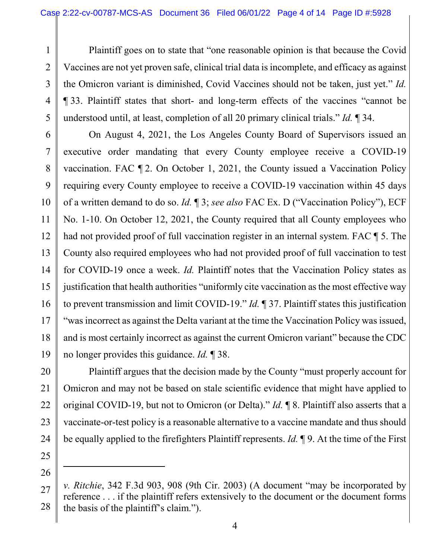Plaintiff goes on to state that "one reasonable opinion is that because the Covid Vaccines are not yet proven safe, clinical trial data is incomplete, and efficacy as against the Omicron variant is diminished, Covid Vaccines should not be taken, just yet." *Id.* ¶ 33. Plaintiff states that short- and long-term effects of the vaccines "cannot be understood until, at least, completion of all 20 primary clinical trials." *Id.* ¶ 34.

On August 4, 2021, the Los Angeles County Board of Supervisors issued an executive order mandating that every County employee receive a COVID-19 vaccination. FAC ¶ 2. On October 1, 2021, the County issued a Vaccination Policy requiring every County employee to receive a COVID-19 vaccination within 45 days of a written demand to do so. *Id.* ¶ 3; *see also* FAC Ex. D ("Vaccination Policy"), ECF No. 1-10. On October 12, 2021, the County required that all County employees who had not provided proof of full vaccination register in an internal system. FAC  $\P$  5. The County also required employees who had not provided proof of full vaccination to test for COVID-19 once a week. *Id.* Plaintiff notes that the Vaccination Policy states as justification that health authorities "uniformly cite vaccination as the most effective way to prevent transmission and limit COVID-19." *Id.* ¶ 37. Plaintiff states this justification "was incorrect as against the Delta variant at the time the Vaccination Policy was issued, and is most certainly incorrect as against the current Omicron variant" because the CDC no longer provides this guidance. *Id.* ¶ 38.

Plaintiff argues that the decision made by the County "must properly account for Omicron and may not be based on stale scientific evidence that might have applied to original COVID-19, but not to Omicron (or Delta)." *Id.* ¶ 8. Plaintiff also asserts that a vaccinate-or-test policy is a reasonable alternative to a vaccine mandate and thus should be equally applied to the firefighters Plaintiff represents. *Id.* ¶ 9. At the time of the First

25 26

 $\overline{a}$ 

1

2

3

4

5

6

7

8

9

10

11

12

13

14

15

16

17

18

19

20

21

22

23

<sup>27</sup> 28 *v. Ritchie*, 342 F.3d 903, 908 (9th Cir. 2003) (A document "may be incorporated by reference . . . if the plaintiff refers extensively to the document or the document forms the basis of the plaintiff's claim.").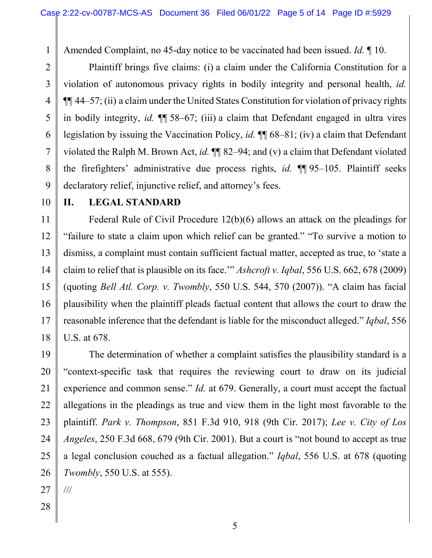Amended Complaint, no 45-day notice to be vaccinated had been issued. *Id.* ¶ 10.

Plaintiff brings five claims: (i) a claim under the California Constitution for a violation of autonomous privacy rights in bodily integrity and personal health, *id.* ¶¶ 44–57; (ii) a claim under the United States Constitution for violation of privacy rights in bodily integrity, *id.* ¶¶ 58–67; (iii) a claim that Defendant engaged in ultra vires legislation by issuing the Vaccination Policy, *id.* ¶¶ 68–81; (iv) a claim that Defendant violated the Ralph M. Brown Act, *id.* ¶¶ 82–94; and (v) a claim that Defendant violated the firefighters' administrative due process rights, *id.* ¶¶ 95–105. Plaintiff seeks declaratory relief, injunctive relief, and attorney's fees.

#### **II. LEGAL STANDARD**

1

2

3

4

5

6

7

8

9

10

11

12

13

14

15

16

17

18

19

20

21

22

23

24

25

26

Federal Rule of Civil Procedure 12(b)(6) allows an attack on the pleadings for "failure to state a claim upon which relief can be granted." "To survive a motion to dismiss, a complaint must contain sufficient factual matter, accepted as true, to 'state a claim to relief that is plausible on its face.'" *Ashcroft v. Iqbal*, 556 U.S. 662, 678 (2009) (quoting *Bell Atl. Corp. v. Twombly*, 550 U.S. 544, 570 (2007)). "A claim has facial plausibility when the plaintiff pleads factual content that allows the court to draw the reasonable inference that the defendant is liable for the misconduct alleged." *Iqbal*, 556 U.S. at 678.

The determination of whether a complaint satisfies the plausibility standard is a "context-specific task that requires the reviewing court to draw on its judicial experience and common sense." *Id.* at 679. Generally, a court must accept the factual allegations in the pleadings as true and view them in the light most favorable to the plaintiff. *Park v. Thompson*, 851 F.3d 910, 918 (9th Cir. 2017); *Lee v. City of Los Angeles*, 250 F.3d 668, 679 (9th Cir. 2001). But a court is "not bound to accept as true a legal conclusion couched as a factual allegation." *Iqbal*, 556 U.S. at 678 (quoting *Twombly*, 550 U.S. at 555).

- 27 ///
- 28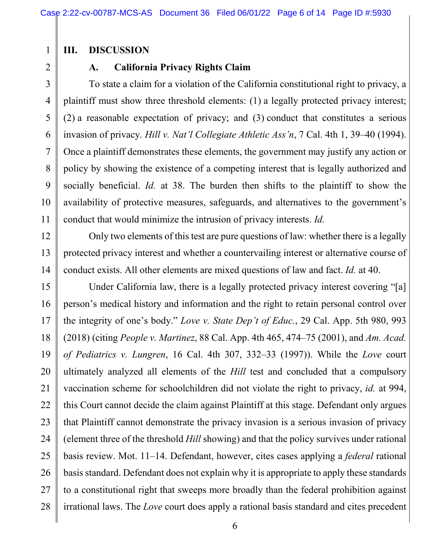## **III. DISCUSSION**

## **A. California Privacy Rights Claim**

To state a claim for a violation of the California constitutional right to privacy, a plaintiff must show three threshold elements: (1) a legally protected privacy interest; (2) a reasonable expectation of privacy; and (3) conduct that constitutes a serious invasion of privacy. *Hill v. Nat'l Collegiate Athletic Ass'n*, 7 Cal. 4th 1, 39–40 (1994). Once a plaintiff demonstrates these elements, the government may justify any action or policy by showing the existence of a competing interest that is legally authorized and socially beneficial. *Id.* at 38. The burden then shifts to the plaintiff to show the availability of protective measures, safeguards, and alternatives to the government's conduct that would minimize the intrusion of privacy interests. *Id.*

Only two elements of this test are pure questions of law: whether there is a legally protected privacy interest and whether a countervailing interest or alternative course of conduct exists. All other elements are mixed questions of law and fact. *Id.* at 40.

Under California law, there is a legally protected privacy interest covering "[a] person's medical history and information and the right to retain personal control over the integrity of one's body." *Love v. State Dep't of Educ.*, 29 Cal. App. 5th 980, 993 (2018) (citing *People v. Martinez*, 88 Cal. App. 4th 465, 474–75 (2001), and *Am. Acad. of Pediatrics v. Lungren*, 16 Cal. 4th 307, 332–33 (1997)). While the *Love* court ultimately analyzed all elements of the *Hill* test and concluded that a compulsory vaccination scheme for schoolchildren did not violate the right to privacy, *id.* at 994, this Court cannot decide the claim against Plaintiff at this stage. Defendant only argues that Plaintiff cannot demonstrate the privacy invasion is a serious invasion of privacy (element three of the threshold *Hill* showing) and that the policy survives under rational basis review. Mot. 11–14. Defendant, however, cites cases applying a *federal* rational basis standard. Defendant does not explain why it is appropriate to apply these standards to a constitutional right that sweeps more broadly than the federal prohibition against irrational laws. The *Love* court does apply a rational basis standard and cites precedent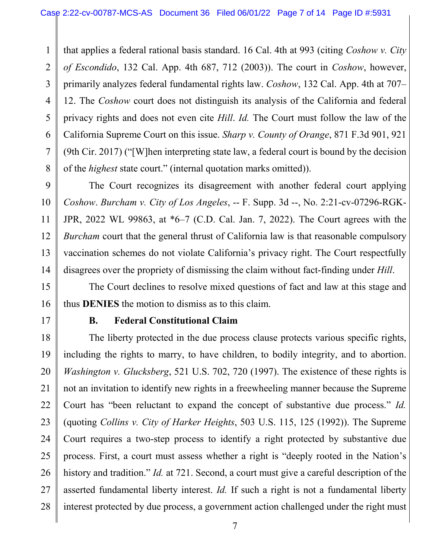that applies a federal rational basis standard. 16 Cal. 4th at 993 (citing *Coshow v. City of Escondido*, 132 Cal. App. 4th 687, 712 (2003)). The court in *Coshow*, however, primarily analyzes federal fundamental rights law. *Coshow*, 132 Cal. App. 4th at 707– 12. The *Coshow* court does not distinguish its analysis of the California and federal privacy rights and does not even cite *Hill*. *Id.* The Court must follow the law of the California Supreme Court on this issue. *Sharp v. County of Orange*, 871 F.3d 901, 921 (9th Cir. 2017) ("[W]hen interpreting state law, a federal court is bound by the decision of the *highest* state court." (internal quotation marks omitted)).

The Court recognizes its disagreement with another federal court applying *Coshow*. *Burcham v. City of Los Angeles*, -- F. Supp. 3d --, No. 2:21-cv-07296-RGK-JPR, 2022 WL 99863, at \*6–7 (C.D. Cal. Jan. 7, 2022). The Court agrees with the *Burcham* court that the general thrust of California law is that reasonable compulsory vaccination schemes do not violate California's privacy right. The Court respectfully disagrees over the propriety of dismissing the claim without fact-finding under *Hill*.

The Court declines to resolve mixed questions of fact and law at this stage and thus **DENIES** the motion to dismiss as to this claim.

### **B. Federal Constitutional Claim**

The liberty protected in the due process clause protects various specific rights, including the rights to marry, to have children, to bodily integrity, and to abortion. *Washington v. Glucksberg*, 521 U.S. 702, 720 (1997). The existence of these rights is not an invitation to identify new rights in a freewheeling manner because the Supreme Court has "been reluctant to expand the concept of substantive due process." *Id.* (quoting *Collins v. City of Harker Heights*, 503 U.S. 115, 125 (1992)). The Supreme Court requires a two-step process to identify a right protected by substantive due process. First, a court must assess whether a right is "deeply rooted in the Nation's history and tradition." *Id.* at 721. Second, a court must give a careful description of the asserted fundamental liberty interest. *Id.* If such a right is not a fundamental liberty interest protected by due process, a government action challenged under the right must

1

2

3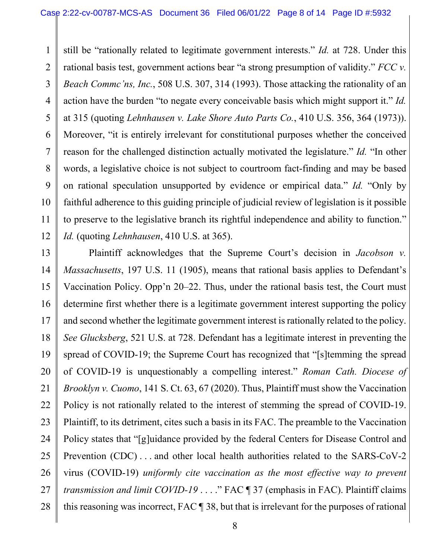1 2 3 4 5 6 7 8 9 10 11 12 still be "rationally related to legitimate government interests." *Id.* at 728. Under this rational basis test, government actions bear "a strong presumption of validity." *FCC v. Beach Commc'ns, Inc.*, 508 U.S. 307, 314 (1993). Those attacking the rationality of an action have the burden "to negate every conceivable basis which might support it." *Id.* at 315 (quoting *Lehnhausen v. Lake Shore Auto Parts Co.*, 410 U.S. 356, 364 (1973)). Moreover, "it is entirely irrelevant for constitutional purposes whether the conceived reason for the challenged distinction actually motivated the legislature." *Id.* "In other words, a legislative choice is not subject to courtroom fact-finding and may be based on rational speculation unsupported by evidence or empirical data." *Id.* "Only by faithful adherence to this guiding principle of judicial review of legislation is it possible to preserve to the legislative branch its rightful independence and ability to function." *Id.* (quoting *Lehnhausen*, 410 U.S. at 365).

13 14 15 16 17 18 19 20 21 22 23 24 25 26 27 28 Plaintiff acknowledges that the Supreme Court's decision in *Jacobson v. Massachusetts*, 197 U.S. 11 (1905), means that rational basis applies to Defendant's Vaccination Policy. Opp'n 20–22. Thus, under the rational basis test, the Court must determine first whether there is a legitimate government interest supporting the policy and second whether the legitimate government interest is rationally related to the policy. *See Glucksberg*, 521 U.S. at 728. Defendant has a legitimate interest in preventing the spread of COVID-19; the Supreme Court has recognized that "[s]temming the spread of COVID-19 is unquestionably a compelling interest." *Roman Cath. Diocese of Brooklyn v. Cuomo*, 141 S. Ct. 63, 67 (2020). Thus, Plaintiff must show the Vaccination Policy is not rationally related to the interest of stemming the spread of COVID-19. Plaintiff, to its detriment, cites such a basis in its FAC. The preamble to the Vaccination Policy states that "[g]uidance provided by the federal Centers for Disease Control and Prevention (CDC) . . . and other local health authorities related to the SARS-CoV-2 virus (COVID-19) *uniformly cite vaccination as the most effective way to prevent transmission and limit COVID-19* . . . ." FAC ¶ 37 (emphasis in FAC). Plaintiff claims this reasoning was incorrect, FAC ¶ 38, but that is irrelevant for the purposes of rational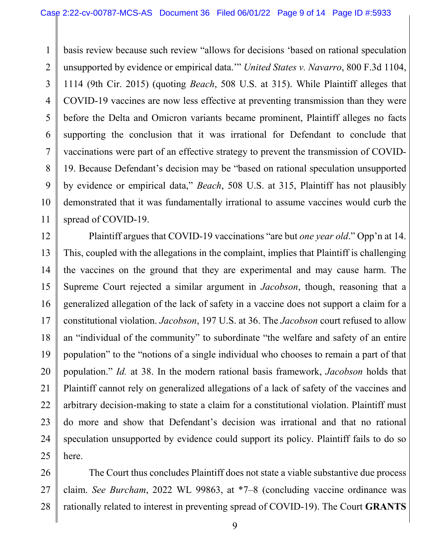basis review because such review "allows for decisions 'based on rational speculation unsupported by evidence or empirical data.'" *United States v. Navarro*, 800 F.3d 1104, 1114 (9th Cir. 2015) (quoting *Beach*, 508 U.S. at 315). While Plaintiff alleges that COVID-19 vaccines are now less effective at preventing transmission than they were before the Delta and Omicron variants became prominent, Plaintiff alleges no facts supporting the conclusion that it was irrational for Defendant to conclude that vaccinations were part of an effective strategy to prevent the transmission of COVID-19. Because Defendant's decision may be "based on rational speculation unsupported by evidence or empirical data," *Beach*, 508 U.S. at 315, Plaintiff has not plausibly demonstrated that it was fundamentally irrational to assume vaccines would curb the spread of COVID-19.

Plaintiff argues that COVID-19 vaccinations "are but *one year old*." Opp'n at 14. This, coupled with the allegations in the complaint, implies that Plaintiff is challenging the vaccines on the ground that they are experimental and may cause harm. The Supreme Court rejected a similar argument in *Jacobson*, though, reasoning that a generalized allegation of the lack of safety in a vaccine does not support a claim for a constitutional violation. *Jacobson*, 197 U.S. at 36. The *Jacobson* court refused to allow an "individual of the community" to subordinate "the welfare and safety of an entire population" to the "notions of a single individual who chooses to remain a part of that population." *Id.* at 38. In the modern rational basis framework, *Jacobson* holds that Plaintiff cannot rely on generalized allegations of a lack of safety of the vaccines and arbitrary decision-making to state a claim for a constitutional violation. Plaintiff must do more and show that Defendant's decision was irrational and that no rational speculation unsupported by evidence could support its policy. Plaintiff fails to do so here.

The Court thus concludes Plaintiff does not state a viable substantive due process claim. *See Burcham*, 2022 WL 99863, at \*7–8 (concluding vaccine ordinance was rationally related to interest in preventing spread of COVID-19). The Court **GRANTS**

1

2

3

4

5

6

7

8

9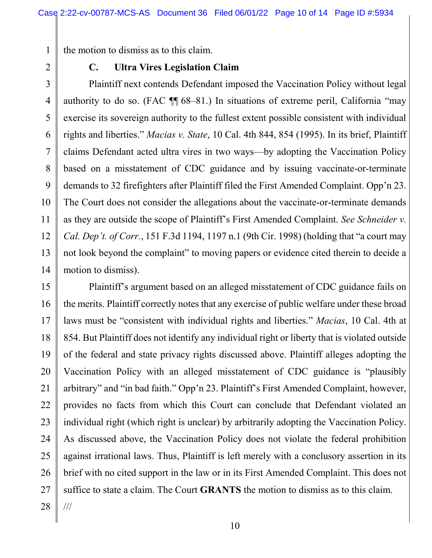the motion to dismiss as to this claim.

2

1

3

4

5

6

7

8

9

10

## **C. Ultra Vires Legislation Claim**

Plaintiff next contends Defendant imposed the Vaccination Policy without legal authority to do so. (FAC ¶¶ 68–81.) In situations of extreme peril, California "may exercise its sovereign authority to the fullest extent possible consistent with individual rights and liberties." *Macias v. State*, 10 Cal. 4th 844, 854 (1995). In its brief, Plaintiff claims Defendant acted ultra vires in two ways—by adopting the Vaccination Policy based on a misstatement of CDC guidance and by issuing vaccinate-or-terminate demands to 32 firefighters after Plaintiff filed the First Amended Complaint. Opp'n 23. The Court does not consider the allegations about the vaccinate-or-terminate demands as they are outside the scope of Plaintiff's First Amended Complaint. *See Schneider v. Cal. Dep't. of Corr.*, 151 F.3d 1194, 1197 n.1 (9th Cir. 1998) (holding that "a court may not look beyond the complaint" to moving papers or evidence cited therein to decide a motion to dismiss).

Plaintiff's argument based on an alleged misstatement of CDC guidance fails on the merits. Plaintiff correctly notes that any exercise of public welfare under these broad laws must be "consistent with individual rights and liberties." *Macias*, 10 Cal. 4th at 854. But Plaintiff does not identify any individual right or liberty that is violated outside of the federal and state privacy rights discussed above. Plaintiff alleges adopting the Vaccination Policy with an alleged misstatement of CDC guidance is "plausibly arbitrary" and "in bad faith." Opp'n 23. Plaintiff's First Amended Complaint, however, provides no facts from which this Court can conclude that Defendant violated an individual right (which right is unclear) by arbitrarily adopting the Vaccination Policy. As discussed above, the Vaccination Policy does not violate the federal prohibition against irrational laws. Thus, Plaintiff is left merely with a conclusory assertion in its brief with no cited support in the law or in its First Amended Complaint. This does not suffice to state a claim. The Court **GRANTS** the motion to dismiss as to this claim. ///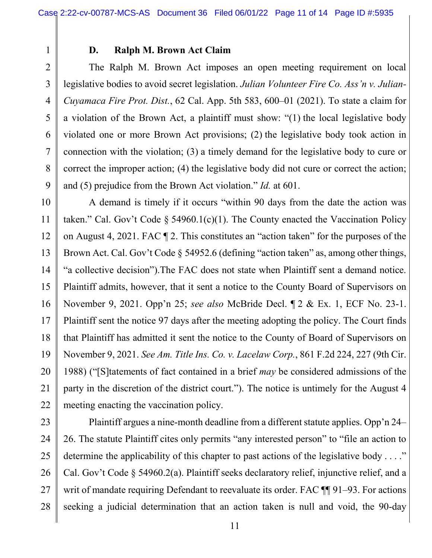#### **D. Ralph M. Brown Act Claim**

The Ralph M. Brown Act imposes an open meeting requirement on local legislative bodies to avoid secret legislation. *Julian Volunteer Fire Co. Ass'n v. Julian-Cuyamaca Fire Prot. Dist.*, 62 Cal. App. 5th 583, 600–01 (2021). To state a claim for a violation of the Brown Act, a plaintiff must show: "(1) the local legislative body violated one or more Brown Act provisions; (2) the legislative body took action in connection with the violation; (3) a timely demand for the legislative body to cure or correct the improper action; (4) the legislative body did not cure or correct the action; and (5) prejudice from the Brown Act violation." *Id.* at 601.

A demand is timely if it occurs "within 90 days from the date the action was taken." Cal. Gov't Code § 54960.1(c)(1). The County enacted the Vaccination Policy on August 4, 2021. FAC ¶ 2. This constitutes an "action taken" for the purposes of the Brown Act. Cal. Gov't Code § 54952.6 (defining "action taken" as, among other things, "a collective decision").The FAC does not state when Plaintiff sent a demand notice. Plaintiff admits, however, that it sent a notice to the County Board of Supervisors on November 9, 2021. Opp'n 25; *see also* McBride Decl. ¶ 2 & Ex. 1, ECF No. 23-1. Plaintiff sent the notice 97 days after the meeting adopting the policy. The Court finds that Plaintiff has admitted it sent the notice to the County of Board of Supervisors on November 9, 2021. *See Am. Title Ins. Co. v. Lacelaw Corp.*, 861 F.2d 224, 227 (9th Cir. 1988) ("[S]tatements of fact contained in a brief *may* be considered admissions of the party in the discretion of the district court."). The notice is untimely for the August 4 meeting enacting the vaccination policy.

Plaintiff argues a nine-month deadline from a different statute applies. Opp'n 24– 26. The statute Plaintiff cites only permits "any interested person" to "file an action to determine the applicability of this chapter to past actions of the legislative body . . . ." Cal. Gov't Code § 54960.2(a). Plaintiff seeks declaratory relief, injunctive relief, and a writ of mandate requiring Defendant to reevaluate its order. FAC  $\P\P$  91–93. For actions seeking a judicial determination that an action taken is null and void, the 90-day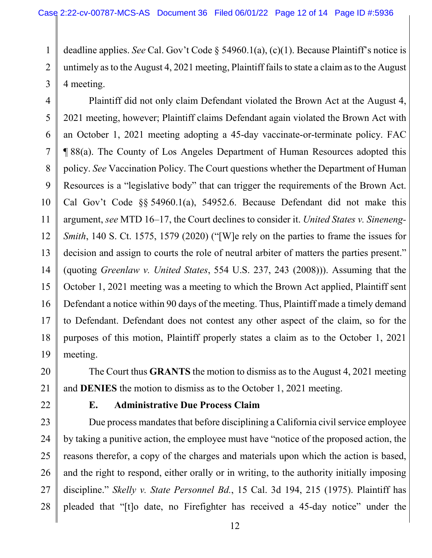deadline applies. *See* Cal. Gov't Code § 54960.1(a), (c)(1). Because Plaintiff's notice is untimely as to the August 4, 2021 meeting, Plaintiff fails to state a claim as to the August 4 meeting.

Plaintiff did not only claim Defendant violated the Brown Act at the August 4, 2021 meeting, however; Plaintiff claims Defendant again violated the Brown Act with an October 1, 2021 meeting adopting a 45-day vaccinate-or-terminate policy. FAC ¶ 88(a). The County of Los Angeles Department of Human Resources adopted this policy. *See* Vaccination Policy. The Court questions whether the Department of Human Resources is a "legislative body" that can trigger the requirements of the Brown Act. Cal Gov't Code §§ 54960.1(a), 54952.6. Because Defendant did not make this argument, *see* MTD 16–17, the Court declines to consider it. *United States v. Sineneng-Smith*, 140 S. Ct. 1575, 1579 (2020) ("[W]e rely on the parties to frame the issues for decision and assign to courts the role of neutral arbiter of matters the parties present." (quoting *Greenlaw v. United States*, 554 U.S. 237, 243 (2008))). Assuming that the October 1, 2021 meeting was a meeting to which the Brown Act applied, Plaintiff sent Defendant a notice within 90 days of the meeting. Thus, Plaintiff made a timely demand to Defendant. Defendant does not contest any other aspect of the claim, so for the purposes of this motion, Plaintiff properly states a claim as to the October 1, 2021 meeting.

The Court thus **GRANTS** the motion to dismiss as to the August 4, 2021 meeting and **DENIES** the motion to dismiss as to the October 1, 2021 meeting.

## **E. Administrative Due Process Claim**

Due process mandates that before disciplining a California civil service employee by taking a punitive action, the employee must have "notice of the proposed action, the reasons therefor, a copy of the charges and materials upon which the action is based, and the right to respond, either orally or in writing, to the authority initially imposing discipline." *Skelly v. State Personnel Bd.*, 15 Cal. 3d 194, 215 (1975). Plaintiff has pleaded that "[t]o date, no Firefighter has received a 45-day notice" under the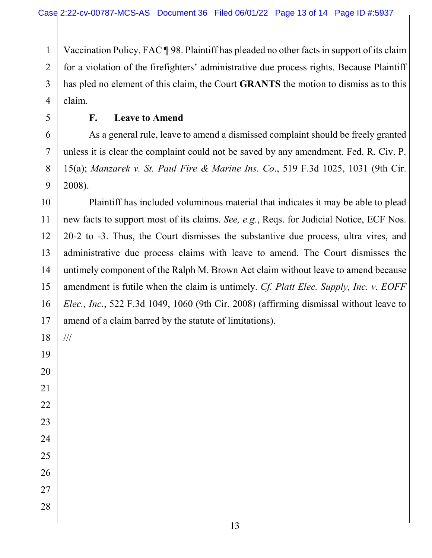Vaccination Policy. FAC ¶ 98. Plaintiff has pleaded no other facts in support of its claim for a violation of the firefighters' administrative due process rights. Because Plaintiff has pled no element of this claim, the Court **GRANTS** the motion to dismiss as to this claim.

### **F. Leave to Amend**

As a general rule, leave to amend a dismissed complaint should be freely granted unless it is clear the complaint could not be saved by any amendment. Fed. R. Civ. P. 15(a); *Manzarek v. St. Paul Fire & Marine Ins. Co*., 519 F.3d 1025, 1031 (9th Cir. 2008).

Plaintiff has included voluminous material that indicates it may be able to plead new facts to support most of its claims. *See, e.g.*, Reqs. for Judicial Notice, ECF Nos. 20-2 to -3. Thus, the Court dismisses the substantive due process, ultra vires, and administrative due process claims with leave to amend. The Court dismisses the untimely component of the Ralph M. Brown Act claim without leave to amend because amendment is futile when the claim is untimely. *Cf. Platt Elec. Supply, Inc. v. EOFF Elec., Inc.*, 522 F.3d 1049, 1060 (9th Cir. 2008) (affirming dismissal without leave to amend of a claim barred by the statute of limitations).

///